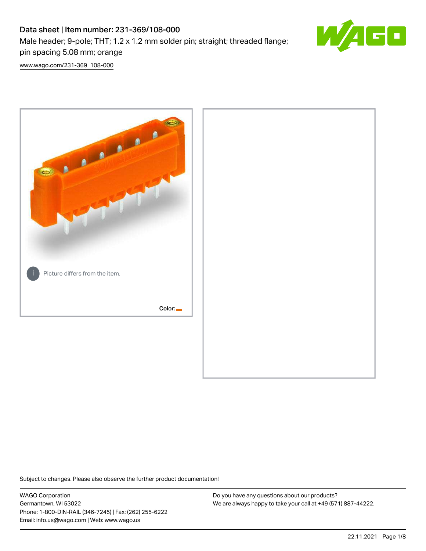# Data sheet | Item number: 231-369/108-000 Male header; 9-pole; THT; 1.2 x 1.2 mm solder pin; straight; threaded flange; pin spacing 5.08 mm; orange



[www.wago.com/231-369\\_108-000](http://www.wago.com/231-369_108-000)



Subject to changes. Please also observe the further product documentation!

WAGO Corporation Germantown, WI 53022 Phone: 1-800-DIN-RAIL (346-7245) | Fax: (262) 255-6222 Email: info.us@wago.com | Web: www.wago.us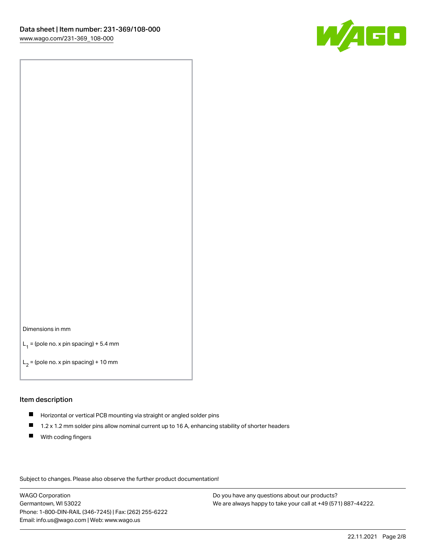

#### Dimensions in mm

 $L_1$  = (pole no. x pin spacing) + 5.4 mm

 $L_2$  = (pole no. x pin spacing) + 10 mm

### Item description

- Horizontal or vertical PCB mounting via straight or angled solder pins
- $\blacksquare$ 1.2 x 1.2 mm solder pins allow nominal current up to 16 A, enhancing stability of shorter headers
- **With coding fingers**

Subject to changes. Please also observe the further product documentation!

WAGO Corporation Germantown, WI 53022 Phone: 1-800-DIN-RAIL (346-7245) | Fax: (262) 255-6222 Email: info.us@wago.com | Web: www.wago.us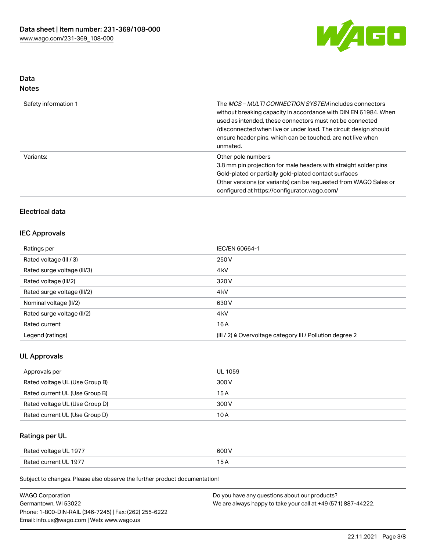

## Data Notes

| Safety information 1 | The <i>MCS – MULTI CONNECTION SYSTEM</i> includes connectors<br>without breaking capacity in accordance with DIN EN 61984. When<br>used as intended, these connectors must not be connected<br>/disconnected when live or under load. The circuit design should<br>ensure header pins, which can be touched, are not live when<br>unmated. |
|----------------------|--------------------------------------------------------------------------------------------------------------------------------------------------------------------------------------------------------------------------------------------------------------------------------------------------------------------------------------------|
| Variants:            | Other pole numbers<br>3.8 mm pin projection for male headers with straight solder pins<br>Gold-plated or partially gold-plated contact surfaces<br>Other versions (or variants) can be requested from WAGO Sales or<br>configured at https://configurator.wago.com/                                                                        |

## Electrical data

# IEC Approvals

| Ratings per                 | IEC/EN 60664-1                                            |
|-----------------------------|-----------------------------------------------------------|
| Rated voltage (III / 3)     | 250 V                                                     |
| Rated surge voltage (III/3) | 4 <sub>kV</sub>                                           |
| Rated voltage (III/2)       | 320 V                                                     |
| Rated surge voltage (III/2) | 4 <sub>kV</sub>                                           |
| Nominal voltage (II/2)      | 630 V                                                     |
| Rated surge voltage (II/2)  | 4 <sub>k</sub> V                                          |
| Rated current               | 16A                                                       |
| Legend (ratings)            | (III / 2) ≙ Overvoltage category III / Pollution degree 2 |

## UL Approvals

| Approvals per                  | UL 1059 |
|--------------------------------|---------|
| Rated voltage UL (Use Group B) | 300 V   |
| Rated current UL (Use Group B) | 15 A    |
| Rated voltage UL (Use Group D) | 300 V   |
| Rated current UL (Use Group D) | 10 A    |

# Ratings per UL

| Rated voltage UL 1977 | 500 V |
|-----------------------|-------|
| Rated current UL 1977 |       |

Subject to changes. Please also observe the further product documentation!

| <b>WAGO Corporation</b>                                | Do you have any questions about our products?                 |
|--------------------------------------------------------|---------------------------------------------------------------|
| Germantown, WI 53022                                   | We are always happy to take your call at +49 (571) 887-44222. |
| Phone: 1-800-DIN-RAIL (346-7245)   Fax: (262) 255-6222 |                                                               |
| Email: info.us@wago.com   Web: www.wago.us             |                                                               |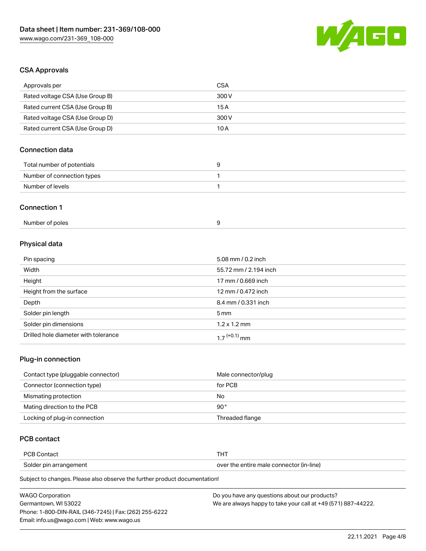

## CSA Approvals

| Approvals per                   | <b>CSA</b>            |
|---------------------------------|-----------------------|
| Rated voltage CSA (Use Group B) | 300 V                 |
| Rated current CSA (Use Group B) | 15A                   |
| Rated voltage CSA (Use Group D) | 300V                  |
| Rated current CSA (Use Group D) | 10A                   |
| <b>Connection data</b>          |                       |
| Total number of potentials      | 9                     |
| Number of connection types      | 1                     |
| Number of levels                | 1                     |
| <b>Connection 1</b>             |                       |
| Number of poles                 | 9                     |
| Physical data                   |                       |
| Pin spacing                     | 5.08 mm / 0.2 inch    |
| Width                           | 55.72 mm / 2.194 inch |
| Height                          | 17 mm / 0.669 inch    |
| Height from the surface         | 12 mm / 0.472 inch    |

| Height from the surface              | 12 mm / 0.472 inch         |
|--------------------------------------|----------------------------|
| Depth                                | 8.4 mm / 0.331 inch        |
| Solder pin length                    | $5 \,\mathrm{mm}$          |
| Solder pin dimensions                | $1.2 \times 1.2$ mm        |
| Drilled hole diameter with tolerance | $1.7$ <sup>(+0.1)</sup> mm |

# Plug-in connection

| Contact type (pluggable connector) | Male connector/plug |
|------------------------------------|---------------------|
| Connector (connection type)        | for PCB             |
| Mismating protection               | No                  |
| Mating direction to the PCB        | 90°                 |
| Locking of plug-in connection      | Threaded flange     |

# PCB contact

| <b>PCB Contact</b>     |                                          |
|------------------------|------------------------------------------|
| Solder pin arrangement | over the entire male connector (in-line) |

Subject to changes. Please also observe the further product documentation!

| <b>WAGO Corporation</b>                                | Do you have any questions about our products?                 |
|--------------------------------------------------------|---------------------------------------------------------------|
| Germantown. WI 53022                                   | We are always happy to take your call at +49 (571) 887-44222. |
| Phone: 1-800-DIN-RAIL (346-7245)   Fax: (262) 255-6222 |                                                               |
| Email: info.us@wago.com   Web: www.wago.us             |                                                               |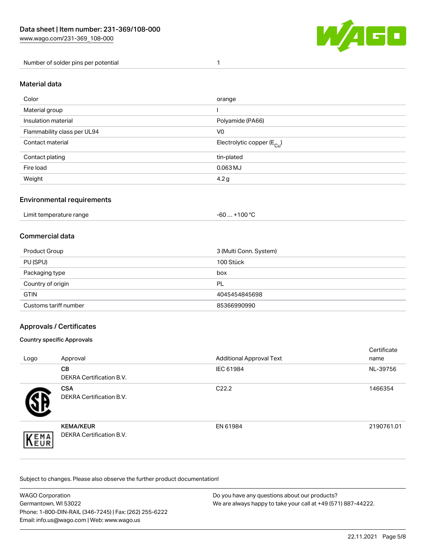

Number of solder pins per potential 1

#### Material data

| Color                       | orange                                 |
|-----------------------------|----------------------------------------|
| Material group              |                                        |
| Insulation material         | Polyamide (PA66)                       |
| Flammability class per UL94 | V <sub>0</sub>                         |
| Contact material            | Electrolytic copper (E <sub>Cu</sub> ) |
| Contact plating             | tin-plated                             |
| Fire load                   | $0.063$ MJ                             |
| Weight                      | 4.2 <sub>g</sub>                       |

## Environmental requirements

Limit temperature range  $-60...+100 °C$ 

### Commercial data

| Product Group         | 3 (Multi Conn. System) |
|-----------------------|------------------------|
| PU (SPU)              | 100 Stück              |
| Packaging type        | box                    |
| Country of origin     | <b>PL</b>              |
| <b>GTIN</b>           | 4045454845698          |
| Customs tariff number | 85366990990            |

## Approvals / Certificates

#### Country specific Approvals

| Logo                | Approval                                            | <b>Additional Approval Text</b> | Certificate<br>name |
|---------------------|-----------------------------------------------------|---------------------------------|---------------------|
|                     | <b>CB</b><br><b>DEKRA Certification B.V.</b>        | IEC 61984                       | NL-39756            |
|                     | <b>CSA</b><br>DEKRA Certification B.V.              | C <sub>22.2</sub>               | 1466354             |
| EMA<br><b>INEUR</b> | <b>KEMA/KEUR</b><br><b>DEKRA Certification B.V.</b> | EN 61984                        | 2190761.01          |

Subject to changes. Please also observe the further product documentation!

| <b>WAGO Corporation</b>                                | Do you have any questions about our products?                 |
|--------------------------------------------------------|---------------------------------------------------------------|
| Germantown, WI 53022                                   | We are always happy to take your call at +49 (571) 887-44222. |
| Phone: 1-800-DIN-RAIL (346-7245)   Fax: (262) 255-6222 |                                                               |
| Email: info.us@wago.com   Web: www.wago.us             |                                                               |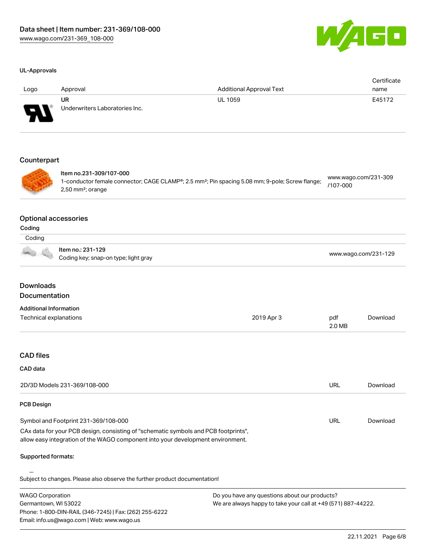

#### UL-Approvals

| Logo        | Approval                                    | <b>Additional Approval Text</b> | Certificate<br>name |
|-------------|---------------------------------------------|---------------------------------|---------------------|
| W           | <b>UR</b><br>Underwriters Laboratories Inc. | <b>UL 1059</b>                  | E45172              |
| Counterpart |                                             |                                 |                     |



Item no.231-309/107-000 1-conductor female connector; CAGE CLAMP®; 2.5 mm²; Pin spacing 5.08 mm; 9-pole; Screw flange; 2,50 mm²; orange [www.wago.com/231-309](https://www.wago.com/231-309/107-000) [/107-000](https://www.wago.com/231-309/107-000)

#### Optional accessories

| ır<br>H |  |
|---------|--|

| Coding |                                                           |                      |
|--------|-----------------------------------------------------------|----------------------|
|        | ltem no.: 231-129<br>Coding key; snap-on type; light gray | www.wago.com/231-129 |

# Downloads Documentation

Email: info.us@wago.com | Web: www.wago.us

| <b>Additional Information</b>                                                                                                                                          |                                                               |               |          |
|------------------------------------------------------------------------------------------------------------------------------------------------------------------------|---------------------------------------------------------------|---------------|----------|
| Technical explanations                                                                                                                                                 | 2019 Apr 3                                                    | pdf<br>2.0 MB | Download |
|                                                                                                                                                                        |                                                               |               |          |
| <b>CAD files</b>                                                                                                                                                       |                                                               |               |          |
| <b>CAD</b> data                                                                                                                                                        |                                                               |               |          |
| 2D/3D Models 231-369/108-000                                                                                                                                           |                                                               | URL           | Download |
| <b>PCB Design</b>                                                                                                                                                      |                                                               |               |          |
| Symbol and Footprint 231-369/108-000                                                                                                                                   |                                                               | <b>URL</b>    | Download |
| CAx data for your PCB design, consisting of "schematic symbols and PCB footprints",<br>allow easy integration of the WAGO component into your development environment. |                                                               |               |          |
| Supported formats:                                                                                                                                                     |                                                               |               |          |
| Subject to changes. Please also observe the further product documentation!                                                                                             |                                                               |               |          |
| <b>WAGO Corporation</b>                                                                                                                                                | Do you have any questions about our products?                 |               |          |
| Germantown, WI 53022                                                                                                                                                   | We are always happy to take your call at +49 (571) 887-44222. |               |          |
| Phone: 1-800-DIN-RAIL (346-7245)   Fax: (262) 255-6222                                                                                                                 |                                                               |               |          |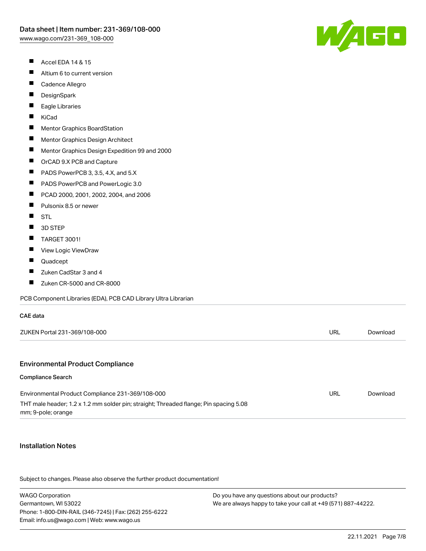- $\blacksquare$ Accel EDA 14 & 15
- $\blacksquare$ Altium 6 to current version
- $\blacksquare$ Cadence Allegro
- $\blacksquare$ **DesignSpark**
- П Eagle Libraries
- $\blacksquare$ KiCad
- $\blacksquare$ Mentor Graphics BoardStation
- $\blacksquare$ Mentor Graphics Design Architect
- $\blacksquare$ Mentor Graphics Design Expedition 99 and 2000
- $\blacksquare$ OrCAD 9.X PCB and Capture
- $\blacksquare$ PADS PowerPCB 3, 3.5, 4.X, and 5.X
- $\blacksquare$ PADS PowerPCB and PowerLogic 3.0
- $\blacksquare$ PCAD 2000, 2001, 2002, 2004, and 2006
- $\blacksquare$ Pulsonix 8.5 or newer
- $\blacksquare$ **STL**
- $\blacksquare$ 3D STEP
- $\blacksquare$ TARGET 3001!
- $\blacksquare$ View Logic ViewDraw
- $\blacksquare$ Quadcept
- $\blacksquare$ Zuken CadStar 3 and 4
- $\blacksquare$ Zuken CR-5000 and CR-8000

PCB Component Libraries (EDA), PCB CAD Library Ultra Librarian

| ZUKEN Portal 231-369/108-000 | <b>'JRL</b> | Download |
|------------------------------|-------------|----------|
|                              |             |          |

#### Environmental Product Compliance

#### Compliance Search

CAE data

| Environmental Product Compliance 231-369/108-000                                      | URL | Download |
|---------------------------------------------------------------------------------------|-----|----------|
| THT male header; 1.2 x 1.2 mm solder pin; straight; Threaded flange; Pin spacing 5.08 |     |          |
| mm; 9-pole; orange                                                                    |     |          |

#### Installation Notes

Subject to changes. Please also observe the further product documentation!

WAGO Corporation Germantown, WI 53022 Phone: 1-800-DIN-RAIL (346-7245) | Fax: (262) 255-6222 Email: info.us@wago.com | Web: www.wago.us